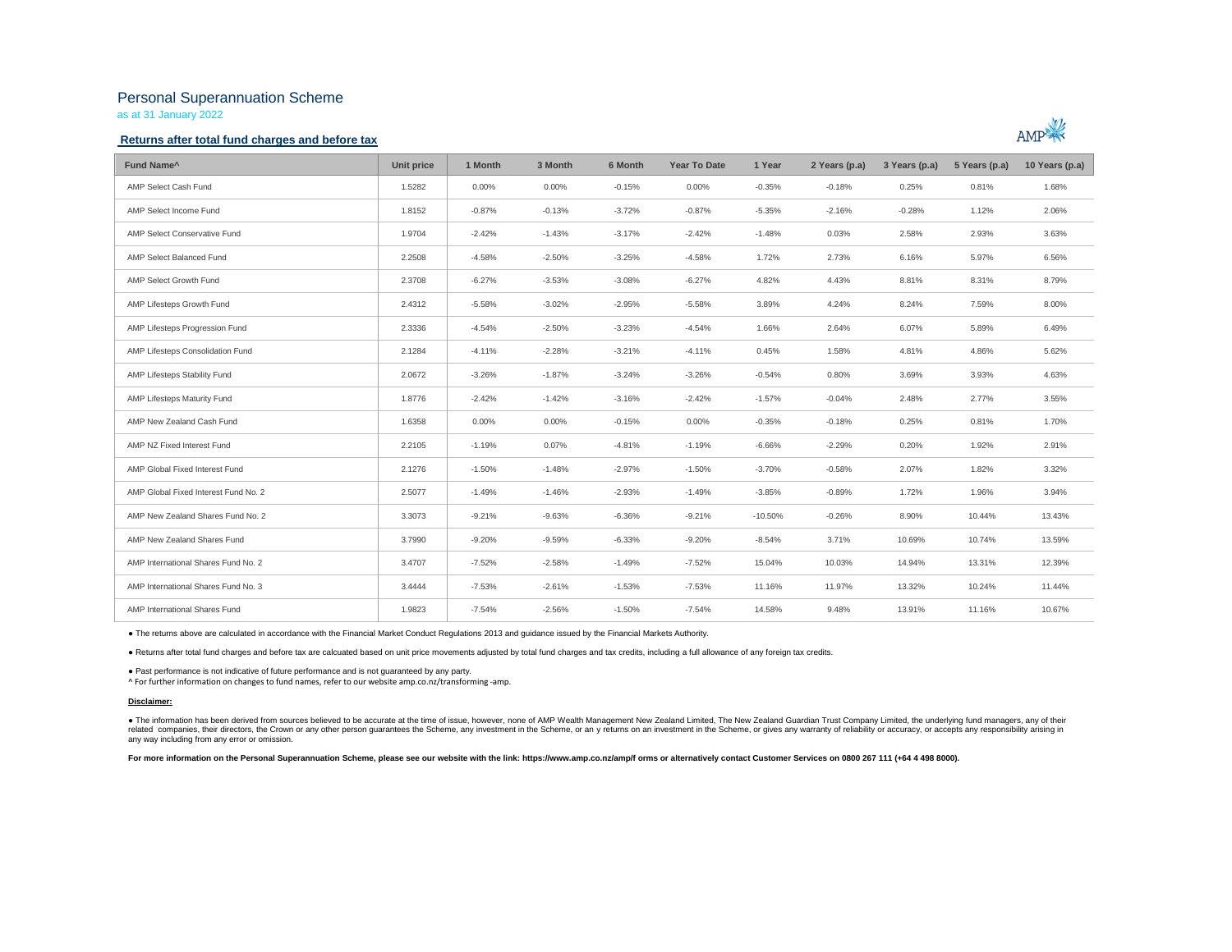# Personal Superannuation Scheme

as at 31 January 2022

### **Returns after total fund charges and before tax**



| Fund Name <sup>^</sup>               | Unit price | 1 Month  | 3 Month  | 6 Month  | <b>Year To Date</b> | 1 Year    | 2 Years (p.a) | 3 Years (p.a) | 5 Years (p.a) | 10 Years (p.a) |
|--------------------------------------|------------|----------|----------|----------|---------------------|-----------|---------------|---------------|---------------|----------------|
| AMP Select Cash Fund                 | 1.5282     | $0.00\%$ | 0.00%    | $-0.15%$ | $0.00\%$            | $-0.35%$  | $-0.18%$      | 0.25%         | 0.81%         | 1.68%          |
| AMP Select Income Fund               | 1.8152     | $-0.87%$ | $-0.13%$ | $-3.72%$ | $-0.87%$            | $-5.35%$  | $-2.16%$      | $-0.28%$      | 1.12%         | 2.06%          |
| <b>AMP Select Conservative Fund</b>  | 1.9704     | $-2.42%$ | $-1.43%$ | $-3.17%$ | $-2.42%$            | $-1.48%$  | 0.03%         | 2.58%         | 2.93%         | 3.63%          |
| AMP Select Balanced Fund             | 2.2508     | $-4.58%$ | $-2.50%$ | $-3.25%$ | $-4.58%$            | 1.72%     | 2.73%         | 6.16%         | 5.97%         | 6.56%          |
| AMP Select Growth Fund               | 2.3708     | $-6.27%$ | $-3.53%$ | $-3.08%$ | $-6.27%$            | 4.82%     | 4.43%         | 8.81%         | 8.31%         | 8.79%          |
| AMP Lifesteps Growth Fund            | 2.4312     | $-5.58%$ | $-3.02%$ | $-2.95%$ | $-5.58%$            | 3.89%     | 4.24%         | 8.24%         | 7.59%         | 8.00%          |
| AMP Lifesteps Progression Fund       | 2.3336     | $-4.54%$ | $-2.50%$ | $-3.23%$ | $-4.54%$            | 1.66%     | 2.64%         | 6.07%         | 5.89%         | 6.49%          |
| AMP Lifesteps Consolidation Fund     | 2.1284     | $-4.11%$ | $-2.28%$ | $-3.21%$ | $-4.11%$            | 0.45%     | 1.58%         | 4.81%         | 4.86%         | 5.62%          |
| AMP Lifesteps Stability Fund         | 2.0672     | $-3.26%$ | $-1.87%$ | $-3.24%$ | $-3.26%$            | $-0.54%$  | 0.80%         | 3.69%         | 3.93%         | 4.63%          |
| AMP Lifesteps Maturity Fund          | 1.8776     | $-2.42%$ | $-1.42%$ | $-3.16%$ | $-2.42%$            | $-1.57%$  | $-0.04%$      | 2.48%         | 2.77%         | 3.55%          |
| AMP New Zealand Cash Fund            | 1.6358     | $0.00\%$ | 0.00%    | $-0.15%$ | 0.00%               | $-0.35%$  | $-0.18%$      | 0.25%         | 0.81%         | 1.70%          |
| AMP NZ Fixed Interest Fund           | 2.2105     | $-1.19%$ | 0.07%    | $-4.81%$ | $-1.19%$            | $-6.66%$  | $-2.29%$      | 0.20%         | 1.92%         | 2.91%          |
| AMP Global Fixed Interest Fund       | 2.1276     | $-1.50%$ | $-1.48%$ | $-2.97%$ | $-1.50%$            | $-3.70%$  | $-0.58%$      | 2.07%         | 1.82%         | 3.32%          |
| AMP Global Fixed Interest Fund No. 2 | 2.5077     | $-1.49%$ | $-1.46%$ | $-2.93%$ | $-1.49%$            | $-3.85%$  | $-0.89%$      | 1.72%         | 1.96%         | 3.94%          |
| AMP New Zealand Shares Fund No. 2    | 3.3073     | $-9.21%$ | $-9.63%$ | $-6.36%$ | $-9.21%$            | $-10.50%$ | $-0.26%$      | 8.90%         | 10.44%        | 13.43%         |
| AMP New Zealand Shares Fund          | 3.7990     | $-9.20%$ | $-9.59%$ | $-6.33%$ | $-9.20%$            | $-8.54%$  | 3.71%         | 10.69%        | 10.74%        | 13.59%         |
| AMP International Shares Fund No. 2  | 3.4707     | $-7.52%$ | $-2.58%$ | $-1.49%$ | $-7.52%$            | 15.04%    | 10.03%        | 14.94%        | 13.31%        | 12.39%         |
| AMP International Shares Fund No. 3  | 3.4444     | $-7.53%$ | $-2.61%$ | $-1.53%$ | $-7.53%$            | 11.16%    | 11.97%        | 13.32%        | 10.24%        | 11.44%         |
| AMP International Shares Fund        | 1.9823     | $-7.54%$ | $-2.56%$ | $-1.50%$ | $-7.54%$            | 14.58%    | 9.48%         | 13.91%        | 11.16%        | 10.67%         |

● The returns above are calculated in accordance with the Financial Market Conduct Regulations 2013 and guidance issued by the Financial Markets Authority.

● Returns after total fund charges and before tax are calcuated based on unit price movements adjusted by total fund charges and tax credits, including a full allowance of any foreign tax credits.

● Past performance is not indicative of future performance and is not guaranteed by any party.

^ For further information on changes to fund names, refer to our website amp.co.nz/transforming -amp.

#### **Disclaimer:**

. The information has been derived from sources believed to be accurate at the time of issue, however, none of AMP Wealth Management New Zealand Limited, The New Zealand Guardian Trust Company Limited, the underlying fund related companies, their directors, the Crown or any other person guarantees the Scheme, any investment in the Scheme, or any returns on an investment in the Scheme, or gives any varranty of reliability or accuracy, or acc any way including from any error or omission.

For more information on the Personal Superannuation Scheme, please see our website with the link: https://www.amp.co.nz/amp/f orms or alternatively contact Customer Services on 0800 267 111 (+64 4 498 8000).